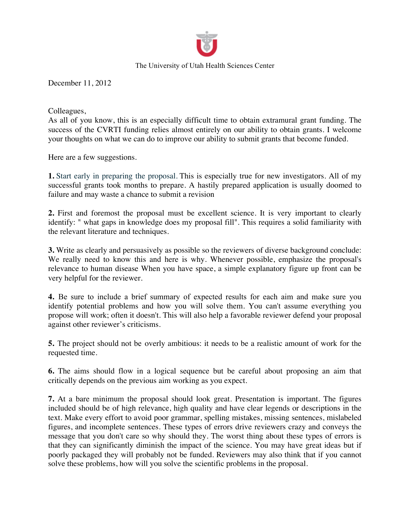

The University of Utah Health Sciences Center

December 11, 2012

Colleagues,

As all of you know, this is an especially difficult time to obtain extramural grant funding. The success of the CVRTI funding relies almost entirely on our ability to obtain grants. I welcome your thoughts on what we can do to improve our ability to submit grants that become funded.

Here are a few suggestions.

**1.** Start early in preparing the proposal. This is especially true for new investigators. All of my successful grants took months to prepare. A hastily prepared application is usually doomed to failure and may waste a chance to submit a revision

**2.** First and foremost the proposal must be excellent science. It is very important to clearly identify: " what gaps in knowledge does my proposal fill". This requires a solid familiarity with the relevant literature and techniques.

**3.** Write as clearly and persuasively as possible so the reviewers of diverse background conclude: We really need to know this and here is why. Whenever possible, emphasize the proposal's relevance to human disease When you have space, a simple explanatory figure up front can be very helpful for the reviewer.

**4.** Be sure to include a brief summary of expected results for each aim and make sure you identify potential problems and how you will solve them. You can't assume everything you propose will work; often it doesn't. This will also help a favorable reviewer defend your proposal against other reviewer's criticisms.

**5.** The project should not be overly ambitious: it needs to be a realistic amount of work for the requested time.

**6.** The aims should flow in a logical sequence but be careful about proposing an aim that critically depends on the previous aim working as you expect.

**7.** At a bare minimum the proposal should look great. Presentation is important. The figures included should be of high relevance, high quality and have clear legends or descriptions in the text. Make every effort to avoid poor grammar, spelling mistakes, missing sentences, mislabeled figures, and incomplete sentences. These types of errors drive reviewers crazy and conveys the message that you don't care so why should they. The worst thing about these types of errors is that they can significantly diminish the impact of the science. You may have great ideas but if poorly packaged they will probably not be funded. Reviewers may also think that if you cannot solve these problems, how will you solve the scientific problems in the proposal.